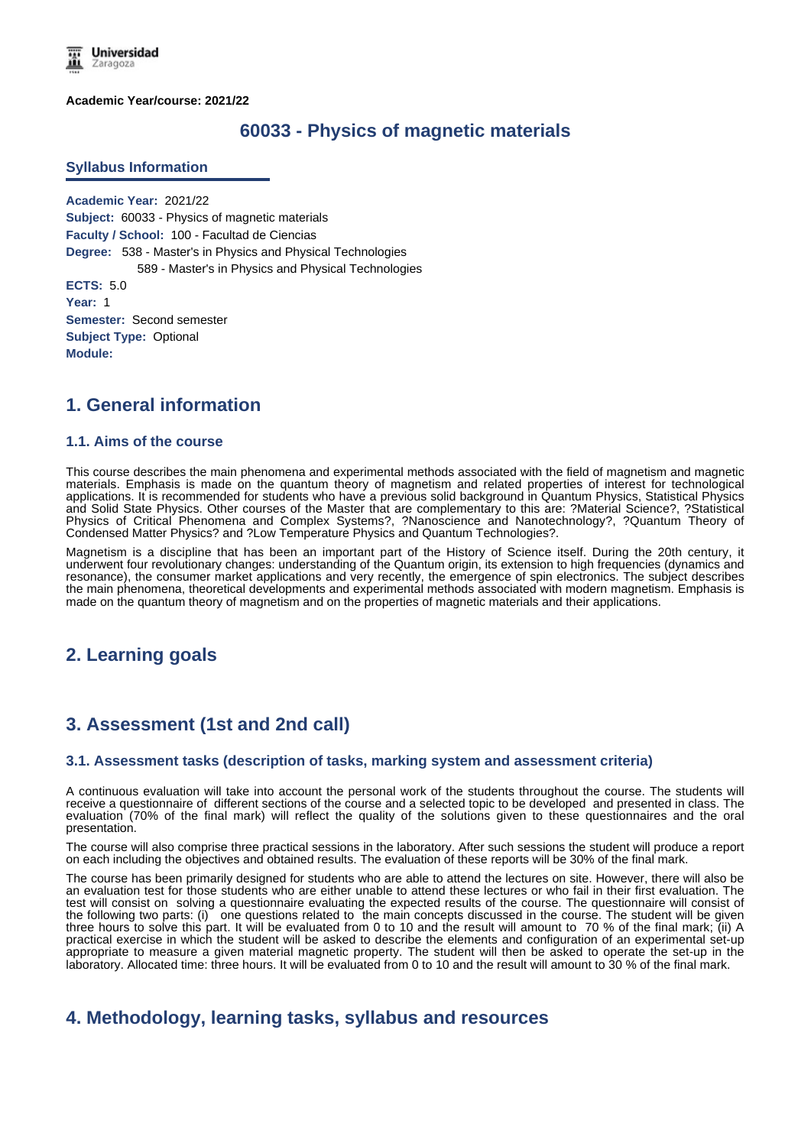**Academic Year/course: 2021/22**

# **60033 - Physics of magnetic materials**

### **Syllabus Information**

**Academic Year:** 2021/22 **Subject:** 60033 - Physics of magnetic materials **Faculty / School:** 100 - Facultad de Ciencias **Degree:** 538 - Master's in Physics and Physical Technologies 589 - Master's in Physics and Physical Technologies **ECTS:** 5.0 **Year:** 1 **Semester:** Second semester **Subject Type:** Optional **Module:**

# **1. General information**

### **1.1. Aims of the course**

This course describes the main phenomena and experimental methods associated with the field of magnetism and magnetic materials. Emphasis is made on the quantum theory of magnetism and related properties of interest for technological applications. It is recommended for students who have a previous solid background in Quantum Physics, Statistical Physics and Solid State Physics. Other courses of the Master that are complementary to this are: ?Material Science?, ?Statistical Physics of Critical Phenomena and Complex Systems?, ?Nanoscience and Nanotechnology?, ?Quantum Theory of Condensed Matter Physics? and ?Low Temperature Physics and Quantum Technologies?.

Magnetism is a discipline that has been an important part of the History of Science itself. During the 20th century, it underwent four revolutionary changes: understanding of the Quantum origin, its extension to high frequencies (dynamics and resonance), the consumer market applications and very recently, the emergence of spin electronics. The subject describes the main phenomena, theoretical developments and experimental methods associated with modern magnetism. Emphasis is made on the quantum theory of magnetism and on the properties of magnetic materials and their applications.

## **2. Learning goals**

# **3. Assessment (1st and 2nd call)**

#### **3.1. Assessment tasks (description of tasks, marking system and assessment criteria)**

A continuous evaluation will take into account the personal work of the students throughout the course. The students will receive a questionnaire of different sections of the course and a selected topic to be developed and presented in class. The evaluation (70% of the final mark) will reflect the quality of the solutions given to these questionnaires and the oral presentation.

The course will also comprise three practical sessions in the laboratory. After such sessions the student will produce a report on each including the objectives and obtained results. The evaluation of these reports will be 30% of the final mark.

The course has been primarily designed for students who are able to attend the lectures on site. However, there will also be an evaluation test for those students who are either unable to attend these lectures or who fail in their first evaluation. The test will consist on solving a questionnaire evaluating the expected results of the course. The questionnaire will consist of the following two parts: (i) one questions related to the main concepts discussed in the course. The student will be given three hours to solve this part. It will be evaluated from 0 to 10 and the result will amount to 70 % of the final mark; (ii) A practical exercise in which the student will be asked to describe the elements and configuration of an experimental set-up appropriate to measure a given material magnetic property. The student will then be asked to operate the set-up in the laboratory. Allocated time: three hours. It will be evaluated from 0 to 10 and the result will amount to 30 % of the final mark.

# **4. Methodology, learning tasks, syllabus and resources**